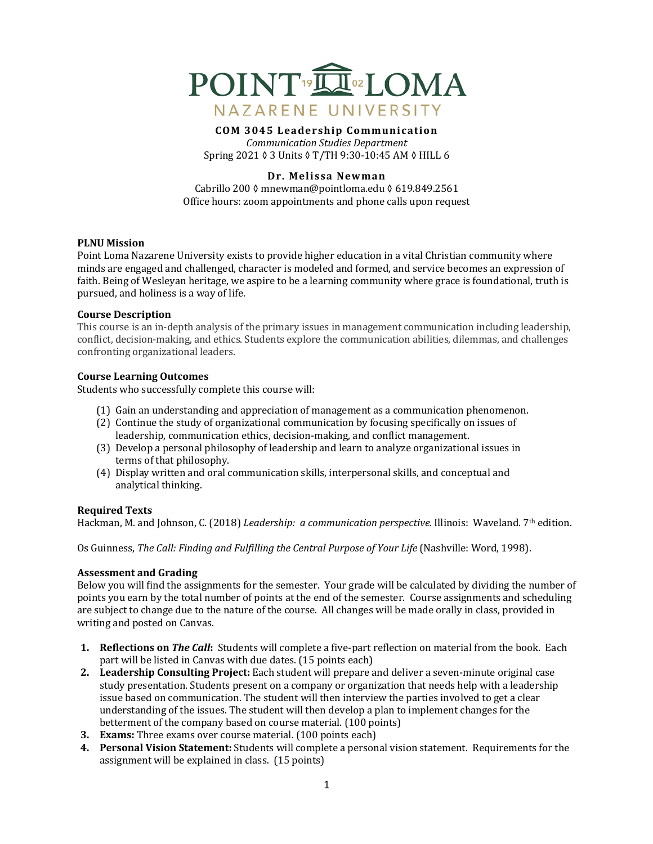

# **COM 3045 Leadership Communication** *Communication Studies Department*

Spring 2021 ♦ 3 Units ♦ T/TH 9:30-10:45 AM ♦ HILL 6

# **Dr. Melissa Newman**

Cabrillo 200 ◊ mnewman@pointloma.edu ◊ 619.849.2561 Office hours: zoom appointments and phone calls upon request

## **PLNU** Mission

Point Loma Nazarene University exists to provide higher education in a vital Christian community where minds are engaged and challenged, character is modeled and formed, and service becomes an expression of faith. Being of Wesleyan heritage, we aspire to be a learning community where grace is foundational, truth is pursued, and holiness is a way of life.

## **Course Description**

This course is an in-depth analysis of the primary issues in management communication including leadership, conflict, decision-making, and ethics. Students explore the communication abilities, dilemmas, and challenges confronting organizational leaders.

## **Course Learning Outcomes**

Students who successfully complete this course will:

- (1) Gain an understanding and appreciation of management as a communication phenomenon.
- (2) Continue the study of organizational communication by focusing specifically on issues of leadership, communication ethics, decision-making, and conflict management.
- (3) Develop a personal philosophy of leadership and learn to analyze organizational issues in terms of that philosophy.
- (4) Display written and oral communication skills, interpersonal skills, and conceptual and analytical thinking.

## **Required Texts**

Hackman, M. and Johnson, C. (2018) *Leadership: a communication perspective.* Illinois: Waveland. 7<sup>th</sup> edition.

Os Guinness, *The Call: Finding and Fulfilling the Central Purpose of Your Life* (Nashville: Word, 1998).

## **Assessment and Grading**

Below you will find the assignments for the semester. Your grade will be calculated by dividing the number of points you earn by the total number of points at the end of the semester. Course assignments and scheduling are subject to change due to the nature of the course. All changes will be made orally in class, provided in writing and posted on Canvas.

- **1. Reflections on** *The Call*: Students will complete a five-part reflection on material from the book. Each part will be listed in Canvas with due dates. (15 points each)
- **2.** Leadership Consulting Project: Each student will prepare and deliver a seven-minute original case study presentation. Students present on a company or organization that needs help with a leadership issue based on communication. The student will then interview the parties involved to get a clear understanding of the issues. The student will then develop a plan to implement changes for the betterment of the company based on course material. (100 points)
- **3. Exams:** Three exams over course material. (100 points each)
- **4. Personal Vision Statement:** Students will complete a personal vision statement. Requirements for the assignment will be explained in class.  $(15 \text{ points})$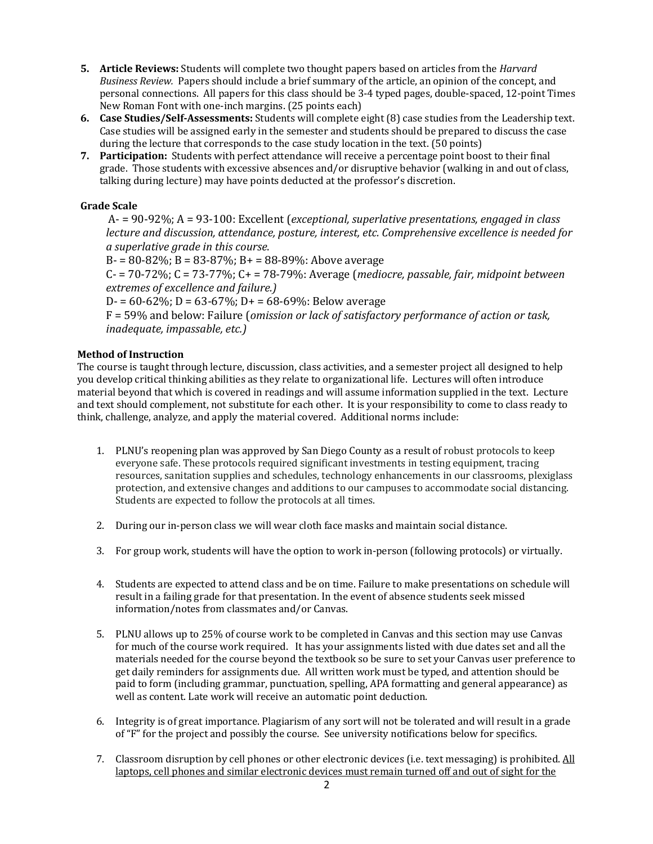- **5.** Article Reviews: Students will complete two thought papers based on articles from the *Harvard Business Review.* Papers should include a brief summary of the article, an opinion of the concept, and personal connections. All papers for this class should be 3-4 typed pages, double-spaced, 12-point Times New Roman Font with one-inch margins. (25 points each)
- **6. Case Studies/Self-Assessments:** Students will complete eight (8) case studies from the Leadership text. Case studies will be assigned early in the semester and students should be prepared to discuss the case during the lecture that corresponds to the case study location in the text. (50 points)
- **7.** Participation: Students with perfect attendance will receive a percentage point boost to their final grade. Those students with excessive absences and/or disruptive behavior (walking in and out of class, talking during lecture) may have points deducted at the professor's discretion.

# **Grade Scale**

A- = 90-92%; A = 93-100: Excellent (*exceptional, superlative presentations, engaged in class lecture and discussion, attendance, posture, interest, etc. Comprehensive excellence is needed for a superlative grade in this course*.

 $B = 80 - 82\%$ ;  $B = 83 - 87\%$ ;  $B = 88 - 89\%$ : Above average  $C = 70-72\%$ ;  $C = 73-77\%$ ;  $C = 78-79\%$ : Average (*mediocre, passable, fair, midpoint between extremes of excellence and failure.)*  $D = 60-62\%$ ;  $D = 63-67\%$ ;  $D = 68-69\%$ : Below average

 $F = 59%$  and below: Failure (*omission or lack of satisfactory performance of action or task, inadequate, impassable, etc.)* 

# **Method of Instruction**

The course is taught through lecture, discussion, class activities, and a semester project all designed to help you develop critical thinking abilities as they relate to organizational life. Lectures will often introduce material beyond that which is covered in readings and will assume information supplied in the text. Lecture and text should complement, not substitute for each other. It is your responsibility to come to class ready to think, challenge, analyze, and apply the material covered. Additional norms include:

- 1. PLNU's reopening plan was approved by San Diego County as a result of robust protocols to keep everyone safe. These protocols required significant investments in testing equipment, tracing resources, sanitation supplies and schedules, technology enhancements in our classrooms, plexiglass protection, and extensive changes and additions to our campuses to accommodate social distancing. Students are expected to follow the protocols at all times.
- 2. During our in-person class we will wear cloth face masks and maintain social distance.
- 3. For group work, students will have the option to work in-person (following protocols) or virtually.
- 4. Students are expected to attend class and be on time. Failure to make presentations on schedule will result in a failing grade for that presentation. In the event of absence students seek missed information/notes from classmates and/or Canvas.
- 5. PLNU allows up to 25% of course work to be completed in Canvas and this section may use Canvas for much of the course work required. It has your assignments listed with due dates set and all the materials needed for the course beyond the textbook so be sure to set your Canvas user preference to get daily reminders for assignments due. All written work must be typed, and attention should be paid to form (including grammar, punctuation, spelling, APA formatting and general appearance) as well as content. Late work will receive an automatic point deduction.
- 6. Integrity is of great importance. Plagiarism of any sort will not be tolerated and will result in a grade of "F" for the project and possibly the course. See university notifications below for specifics.
- 7. Classroom disruption by cell phones or other electronic devices (i.e. text messaging) is prohibited. All laptops, cell phones and similar electronic devices must remain turned off and out of sight for the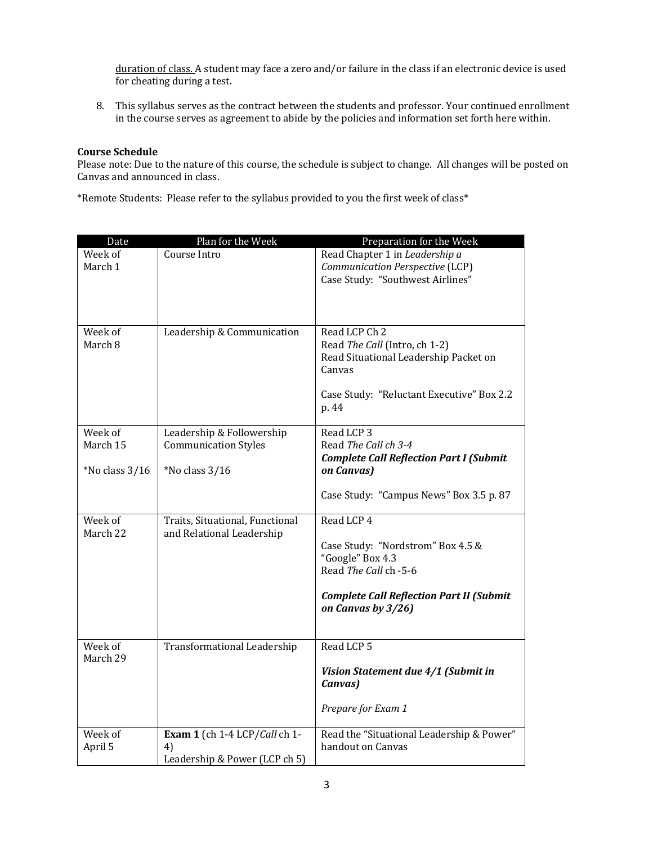duration of class. A student may face a zero and/or failure in the class if an electronic device is used for cheating during a test.

8. This syllabus serves as the contract between the students and professor. Your continued enrollment in the course serves as agreement to abide by the policies and information set forth here within.

## **Course Schedule**

Please note: Due to the nature of this course, the schedule is subject to change. All changes will be posted on Canvas and announced in class.

\*Remote Students: Please refer to the syllabus provided to you the first week of class\*

| Date                | Plan for the Week                                                    | Preparation for the Week                                                                                                                                              |
|---------------------|----------------------------------------------------------------------|-----------------------------------------------------------------------------------------------------------------------------------------------------------------------|
| Week of<br>March 1  | Course Intro                                                         | Read Chapter 1 in Leadership a<br>Communication Perspective (LCP)<br>Case Study: "Southwest Airlines"                                                                 |
| Week of<br>March 8  | Leadership & Communication                                           | Read LCP Ch 2<br>Read The Call (Intro, ch 1-2)<br>Read Situational Leadership Packet on<br>Canvas<br>Case Study: "Reluctant Executive" Box 2.2<br>p. 44               |
| Week of<br>March 15 | Leadership & Followership<br><b>Communication Styles</b>             | Read LCP 3<br>Read The Call ch 3-4<br><b>Complete Call Reflection Part I (Submit</b>                                                                                  |
| $*$ No class $3/16$ | *No class 3/16                                                       | on Canvas)<br>Case Study: "Campus News" Box 3.5 p. 87                                                                                                                 |
| Week of<br>March 22 | Traits, Situational, Functional<br>and Relational Leadership         | Read LCP 4<br>Case Study: "Nordstrom" Box 4.5 &<br>"Google" Box 4.3<br>Read The Call ch -5-6<br><b>Complete Call Reflection Part II (Submit</b><br>on Canvas by 3/26) |
| Week of<br>March 29 | <b>Transformational Leadership</b>                                   | Read LCP 5<br>Vision Statement due 4/1 (Submit in<br>Canvas)<br>Prepare for Exam 1                                                                                    |
| Week of<br>April 5  | Exam 1 (ch 1-4 LCP/Call ch 1-<br>4)<br>Leadership & Power (LCP ch 5) | Read the "Situational Leadership & Power"<br>handout on Canvas                                                                                                        |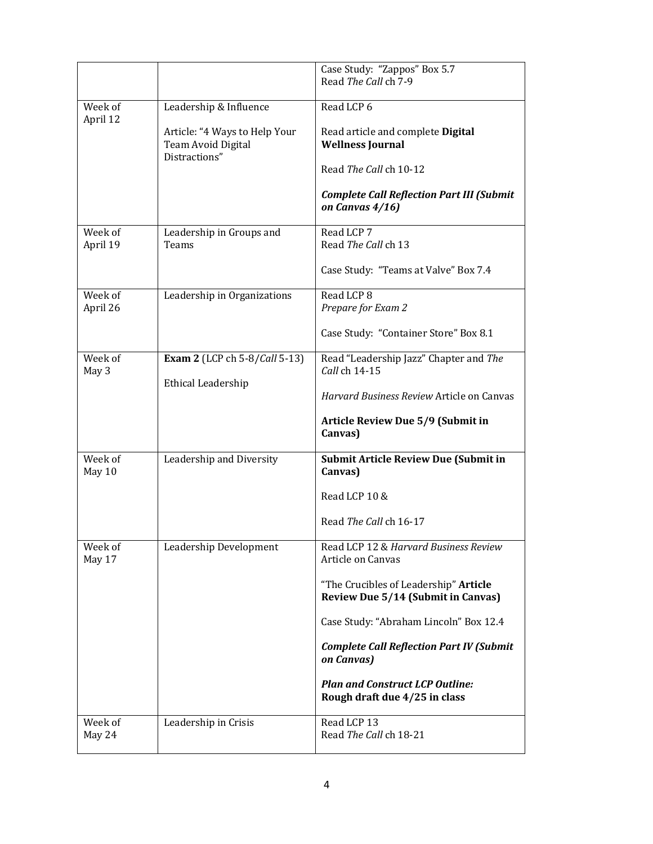|                     |                                                            | Case Study: "Zappos" Box 5.7<br>Read The Call ch 7-9                               |
|---------------------|------------------------------------------------------------|------------------------------------------------------------------------------------|
| Week of<br>April 12 | Leadership & Influence<br>Article: "4 Ways to Help Your    | Read LCP 6<br>Read article and complete Digital                                    |
|                     | Team Avoid Digital<br>Distractions"                        | <b>Wellness Journal</b>                                                            |
|                     |                                                            | Read The Call ch 10-12                                                             |
|                     |                                                            | <b>Complete Call Reflection Part III (Submit</b><br>on Canvas 4/16)                |
| Week of<br>April 19 | Leadership in Groups and<br>Teams                          | Read LCP 7<br>Read The Call ch 13                                                  |
|                     |                                                            | Case Study: "Teams at Valve" Box 7.4                                               |
| Week of<br>April 26 | Leadership in Organizations                                | Read LCP 8<br>Prepare for Exam 2                                                   |
|                     |                                                            | Case Study: "Container Store" Box 8.1                                              |
| Week of<br>May 3    | <b>Exam 2</b> (LCP ch 5-8/Call 5-13)<br>Ethical Leadership | Read "Leadership Jazz" Chapter and The<br>Call ch 14-15                            |
|                     |                                                            | Harvard Business Review Article on Canvas                                          |
|                     |                                                            |                                                                                    |
|                     |                                                            | Article Review Due 5/9 (Submit in<br>Canvas)                                       |
| Week of<br>May 10   | Leadership and Diversity                                   | <b>Submit Article Review Due (Submit in</b><br>Canvas)                             |
|                     |                                                            | Read LCP 10 &                                                                      |
|                     |                                                            | Read The Call ch 16-17                                                             |
| Week of<br>May 17   | Leadership Development                                     | Read LCP 12 & Harvard Business Review<br><b>Article on Canvas</b>                  |
|                     |                                                            | "The Crucibles of Leadership" Article<br><b>Review Due 5/14 (Submit in Canvas)</b> |
|                     |                                                            | Case Study: "Abraham Lincoln" Box 12.4                                             |
|                     |                                                            | <b>Complete Call Reflection Part IV (Submit</b><br>on Canvas)                      |
|                     |                                                            | <b>Plan and Construct LCP Outline:</b><br>Rough draft due 4/25 in class            |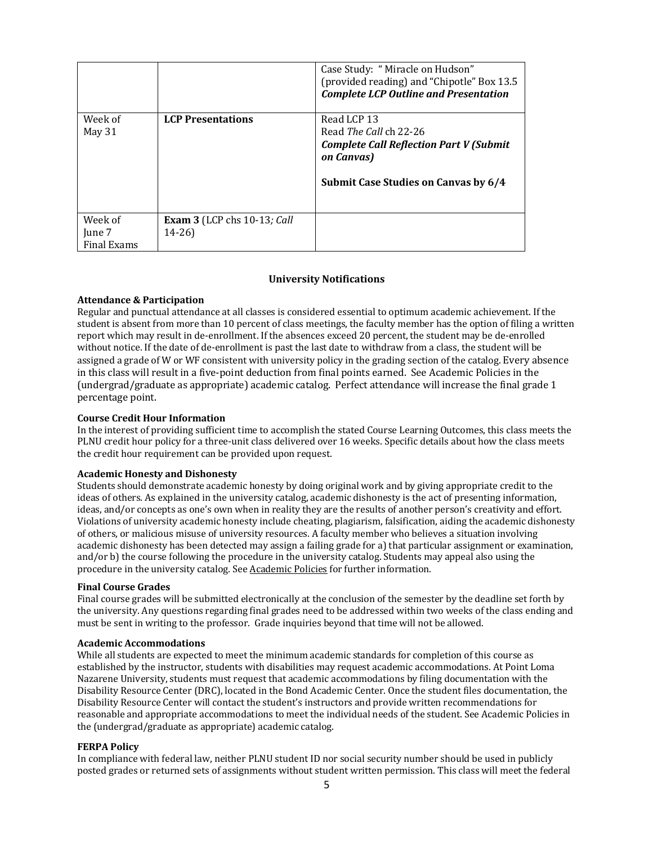|             |                                    | Case Study: "Miracle on Hudson"<br>(provided reading) and "Chipotle" Box 13.5<br><b>Complete LCP Outline and Presentation</b> |
|-------------|------------------------------------|-------------------------------------------------------------------------------------------------------------------------------|
| Week of     | <b>LCP Presentations</b>           | Read LCP 13                                                                                                                   |
| May 31      |                                    | Read The Call ch 22-26                                                                                                        |
|             |                                    | <b>Complete Call Reflection Part V (Submit</b><br>on Canvas)                                                                  |
|             |                                    | Submit Case Studies on Canvas by 6/4                                                                                          |
| Week of     | <b>Exam 3</b> (LCP chs 10-13; Call |                                                                                                                               |
| June 7      | $14 - 26$                          |                                                                                                                               |
| Final Exams |                                    |                                                                                                                               |

#### **University Notifications**

## **Attendance & Participation**

Regular and punctual attendance at all classes is considered essential to optimum academic achievement. If the student is absent from more than 10 percent of class meetings, the faculty member has the option of filing a written report which may result in de-enrollment. If the absences exceed 20 percent, the student may be de-enrolled without notice. If the date of de-enrollment is past the last date to withdraw from a class, the student will be assigned a grade of W or WF consistent with university policy in the grading section of the catalog. Every absence in this class will result in a five-point deduction from final points earned. See Academic Policies in the (undergrad/graduate as appropriate) academic catalog. Perfect attendance will increase the final grade 1 percentage point.

### **Course Credit Hour Information**

In the interest of providing sufficient time to accomplish the stated Course Learning Outcomes, this class meets the PLNU credit hour policy for a three-unit class delivered over 16 weeks. Specific details about how the class meets the credit hour requirement can be provided upon request.

### **Academic Honesty and Dishonesty**

Students should demonstrate academic honesty by doing original work and by giving appropriate credit to the ideas of others. As explained in the university catalog, academic dishonesty is the act of presenting information, ideas, and/or concepts as one's own when in reality they are the results of another person's creativity and effort. Violations of university academic honesty include cheating, plagiarism, falsification, aiding the academic dishonesty of others, or malicious misuse of university resources. A faculty member who believes a situation involving academic dishonesty has been detected may assign a failing grade for a) that particular assignment or examination, and/or b) the course following the procedure in the university catalog. Students may appeal also using the procedure in the university catalog. See Academic Policies for further information.

#### **Final Course Grades**

Final course grades will be submitted electronically at the conclusion of the semester by the deadline set forth by the university. Any questions regarding final grades need to be addressed within two weeks of the class ending and must be sent in writing to the professor. Grade inquiries beyond that time will not be allowed.

#### **Academic Accommodations**

While all students are expected to meet the minimum academic standards for completion of this course as established by the instructor, students with disabilities may request academic accommodations. At Point Loma Nazarene University, students must request that academic accommodations by filing documentation with the Disability Resource Center (DRC), located in the Bond Academic Center. Once the student files documentation, the Disability Resource Center will contact the student's instructors and provide written recommendations for reasonable and appropriate accommodations to meet the individual needs of the student. See Academic Policies in the (undergrad/graduate as appropriate) academic catalog.

## **FERPA Policy**

In compliance with federal law, neither PLNU student ID nor social security number should be used in publicly posted grades or returned sets of assignments without student written permission. This class will meet the federal